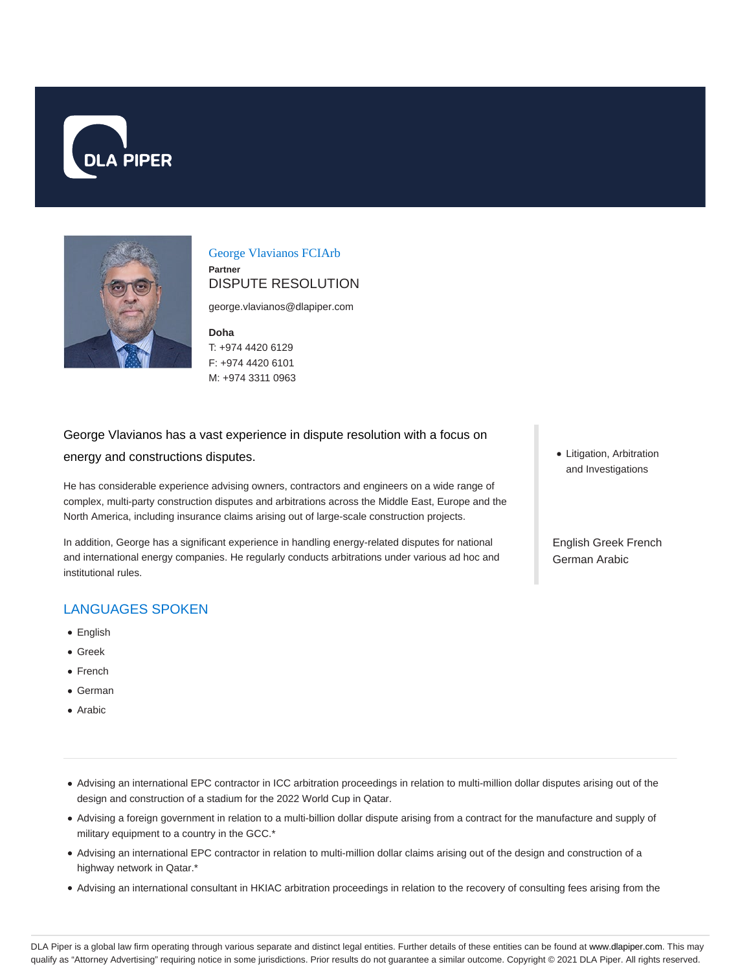



George Vlavianos FCIArb **Partner** DISPUTE RESOLUTION

george.vlavianos@dlapiper.com

**Doha**

T: +974 4420 6129 F: +974 4420 6101 M: +974 3311 0963

# George Vlavianos has a vast experience in dispute resolution with a focus on energy and constructions disputes.

He has considerable experience advising owners, contractors and engineers on a wide range of complex, multi-party construction disputes and arbitrations across the Middle East, Europe and the North America, including insurance claims arising out of large-scale construction projects.

In addition, George has a significant experience in handling energy-related disputes for national and international energy companies. He regularly conducts arbitrations under various ad hoc and institutional rules.

## LANGUAGES SPOKEN

- English
- Greek
- French
- German
- Arabic

• Litigation, Arbitration and Investigations

English Greek French German Arabic

- Advising an international EPC contractor in ICC arbitration proceedings in relation to multi-million dollar disputes arising out of the design and construction of a stadium for the 2022 World Cup in Qatar.
- Advising a foreign government in relation to a multi-billion dollar dispute arising from a contract for the manufacture and supply of military equipment to a country in the GCC.\*
- Advising an international EPC contractor in relation to multi-million dollar claims arising out of the design and construction of a highway network in Qatar.\*
- Advising an international consultant in HKIAC arbitration proceedings in relation to the recovery of consulting fees arising from the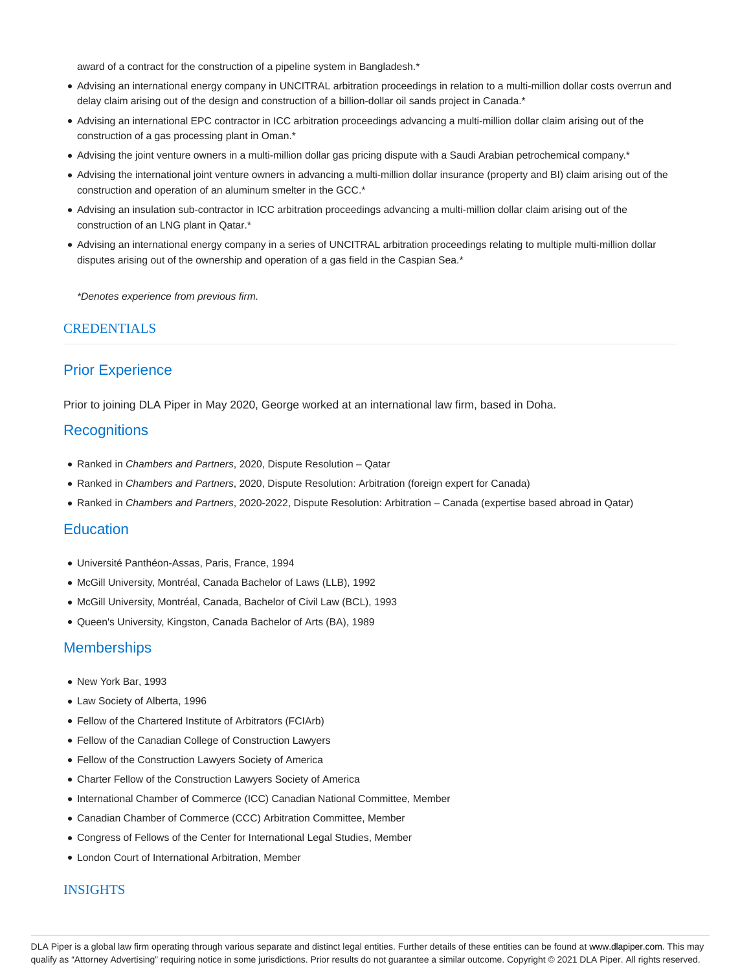award of a contract for the construction of a pipeline system in Bangladesh.\*

- Advising an international energy company in UNCITRAL arbitration proceedings in relation to a multi-million dollar costs overrun and delay claim arising out of the design and construction of a billion-dollar oil sands project in Canada.\*
- Advising an international EPC contractor in ICC arbitration proceedings advancing a multi-million dollar claim arising out of the construction of a gas processing plant in Oman.\*
- Advising the joint venture owners in a multi-million dollar gas pricing dispute with a Saudi Arabian petrochemical company.\*
- Advising the international joint venture owners in advancing a multi-million dollar insurance (property and BI) claim arising out of the construction and operation of an aluminum smelter in the GCC.\*
- Advising an insulation sub-contractor in ICC arbitration proceedings advancing a multi-million dollar claim arising out of the construction of an LNG plant in Qatar.\*
- Advising an international energy company in a series of UNCITRAL arbitration proceedings relating to multiple multi-million dollar disputes arising out of the ownership and operation of a gas field in the Caspian Sea.\*

\*Denotes experience from previous firm.

### **CREDENTIALS**

## Prior Experience

Prior to joining DLA Piper in May 2020, George worked at an international law firm, based in Doha.

### **Recognitions**

- Ranked in Chambers and Partners, 2020, Dispute Resolution Qatar
- Ranked in Chambers and Partners, 2020, Dispute Resolution: Arbitration (foreign expert for Canada)
- Ranked in Chambers and Partners, 2020-2022, Dispute Resolution: Arbitration Canada (expertise based abroad in Qatar)

### **Education**

- Université Panthéon-Assas, Paris, France, 1994
- McGill University, Montréal, Canada Bachelor of Laws (LLB), 1992
- McGill University, Montréal, Canada, Bachelor of Civil Law (BCL), 1993
- Queen's University, Kingston, Canada Bachelor of Arts (BA), 1989

#### **Memberships**

- New York Bar, 1993
- Law Society of Alberta, 1996
- Fellow of the Chartered Institute of Arbitrators (FCIArb)
- Fellow of the Canadian College of Construction Lawyers
- Fellow of the Construction Lawyers Society of America
- Charter Fellow of the Construction Lawyers Society of America
- International Chamber of Commerce (ICC) Canadian National Committee, Member
- Canadian Chamber of Commerce (CCC) Arbitration Committee, Member
- Congress of Fellows of the Center for International Legal Studies, Member
- London Court of International Arbitration, Member

#### INSIGHTS